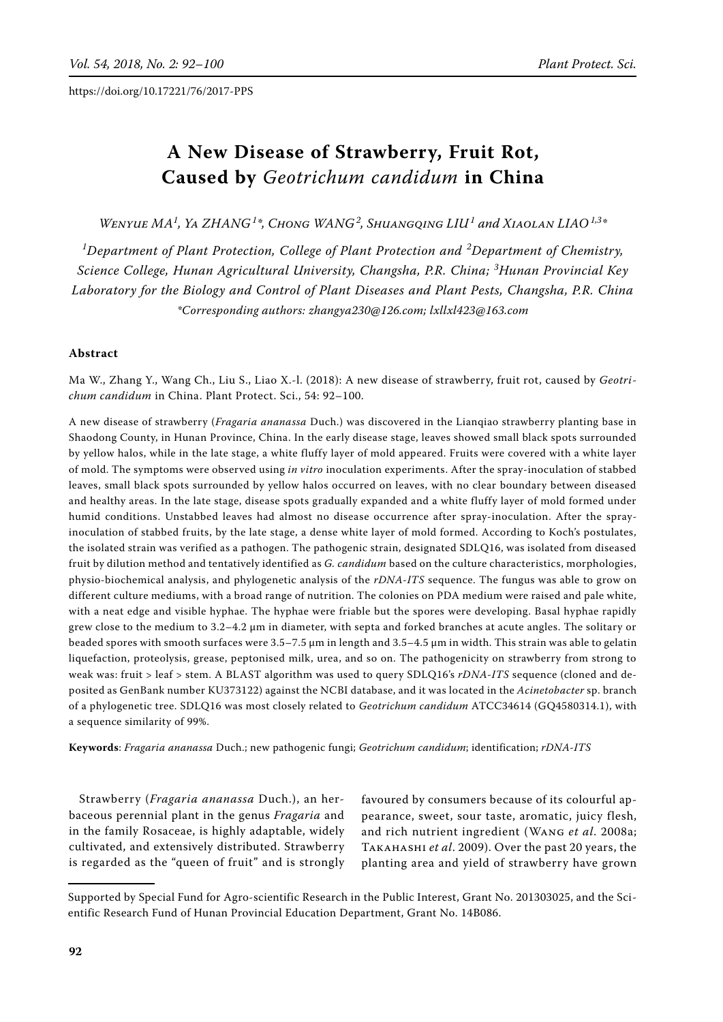# **A New Disease of Strawberry, Fruit Rot, Caused by** *Geotrichum candidum* **in China**

*Wenyue Ma<sup>1</sup> , Ya Zhang <sup>1</sup> \*, Chong Wang <sup>2</sup> , Shuangqing Liu<sup>1</sup> and Xiaolan Liao1,3\**

*1 Department of Plant Protection, College of Plant Protection and <sup>2</sup> Department of Chemistry, Science College, Hunan Agricultural University, Changsha, P.R. China; <sup>3</sup> Hunan Provincial Key Laboratory for the Biology and Control of Plant Diseases and Plant Pests, Changsha, P.R. China \*Corresponding authors: zhangya230@126.com; lxllxl423@163.com*

### **Abstract**

Ma W., Zhang Y., Wang Ch., Liu S., Liao X.-l. (2018): A new disease of strawberry, fruit rot, caused by *Geotrichum candidum* in China. Plant Protect. Sci., 54: 92–100.

A new disease of strawberry (*Fragaria ananassa* Duch.) was discovered in the Lianqiao strawberry planting base in Shaodong County, in Hunan Province, China. In the early disease stage, leaves showed small black spots surrounded by yellow halos, while in the late stage, a white fluffy layer of mold appeared. Fruits were covered with a white layer of mold. The symptoms were observed using *in vitro* inoculation experiments. After the spray-inoculation of stabbed leaves, small black spots surrounded by yellow halos occurred on leaves, with no clear boundary between diseased and healthy areas. In the late stage, disease spots gradually expanded and a white fluffy layer of mold formed under humid conditions. Unstabbed leaves had almost no disease occurrence after spray-inoculation. After the sprayinoculation of stabbed fruits, by the late stage, a dense white layer of mold formed. According to Koch's postulates, the isolated strain was verified as a pathogen. The pathogenic strain, designated SDLQ16, was isolated from diseased fruit by dilution method and tentatively identified as *G. candidum* based on the culture characteristics, morphologies, physio-biochemical analysis, and phylogenetic analysis of the *rDNA-ITS* sequence. The fungus was able to grow on different culture mediums, with a broad range of nutrition. The colonies on PDA medium were raised and pale white, with a neat edge and visible hyphae. The hyphae were friable but the spores were developing. Basal hyphae rapidly grew close to the medium to 3.2–4.2 µm in diameter, with septa and forked branches at acute angles. The solitary or beaded spores with smooth surfaces were 3.5–7.5 µm in length and 3.5–4.5 µm in width. This strain was able to gelatin liquefaction, proteolysis, grease, peptonised milk, urea, and so on. The pathogenicity on strawberry from strong to weak was: fruit > leaf > stem. A BLAST algorithm was used to query SDLQ16's *rDNA-ITS* sequence (cloned and deposited as GenBank number KU373122) against the NCBI database, and it was located in the *Acinetobacter* sp. branch of a phylogenetic tree. SDLQ16 was most closely related to *Geotrichum candidum* ATCC34614 (GQ4580314.1), with a sequence similarity of 99%.

**Keywords**: *Fragaria ananassa* Duch.; new pathogenic fungi; *Geotrichum candidum*; identification; *rDNA-ITS*

Strawberry (*Fragaria ananassa* Duch.), an herbaceous perennial plant in the genus *Fragaria* and in the family Rosaceae, is highly adaptable, widely cultivated, and extensively distributed. Strawberry is regarded as the "queen of fruit" and is strongly

favoured by consumers because of its colourful appearance, sweet, sour taste, aromatic, juicy flesh, and rich nutrient ingredient (Wang *et al*. 2008a; Takahashi *et al*. 2009). Over the past 20 years, the planting area and yield of strawberry have grown

Supported by Special Fund for Agro-scientific Research in the Public Interest, Grant No. 201303025, and the Scientific Research Fund of Hunan Provincial Education Department, Grant No. 14B086.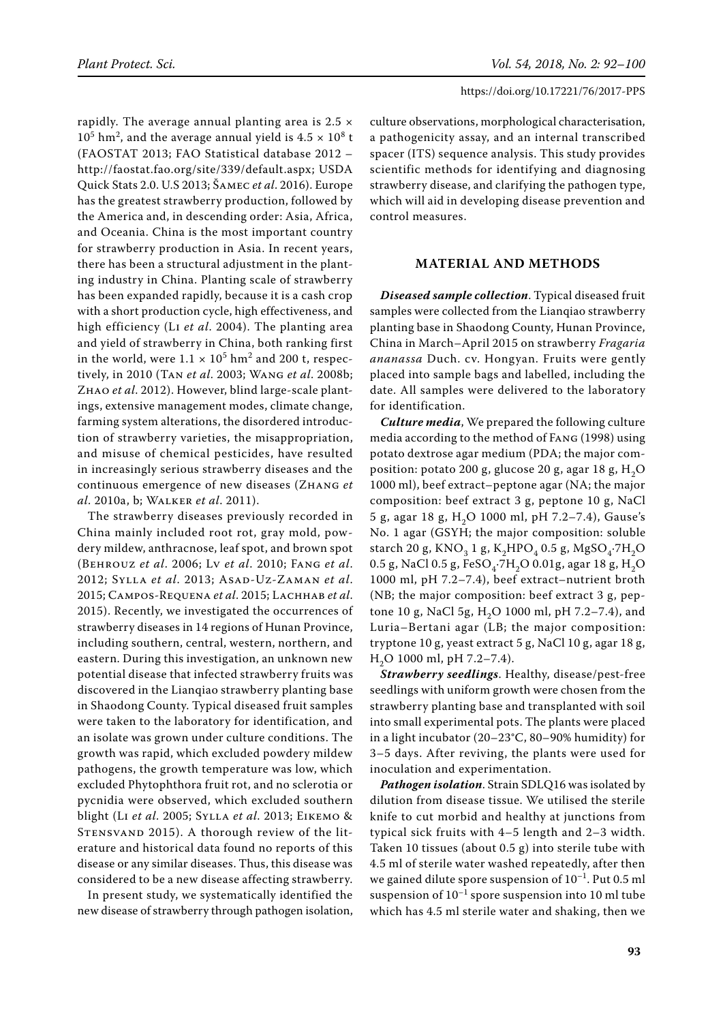rapidly. The average annual planting area is  $2.5 \times$  $10^5$  hm<sup>2</sup>, and the average annual yield is  $4.5 \times 10^8$  t (FAOSTAT 2013; FAO Statistical database 2012 – http://faostat.fao.org/site/339/default.aspx; USDA Quick Stats 2.0. U.S 2013; Šamec *et al*. 2016). Europe has the greatest strawberry production, followed by the America and, in descending order: Asia, Africa, and Oceania. China is the most important country for strawberry production in Asia. In recent years, there has been a structural adjustment in the planting industry in China. Planting scale of strawberry has been expanded rapidly, because it is a cash crop with a short production cycle, high effectiveness, and high efficiency (Li *et al*. 2004). The planting area and yield of strawberry in China, both ranking first in the world, were  $1.1 \times 10^5$  hm<sup>2</sup> and 200 t, respectively, in 2010 (Tan *et al*. 2003; Wang *et al*. 2008b; Zhao *et al*. 2012). However, blind large-scale plantings, extensive management modes, climate change, farming system alterations, the disordered introduction of strawberry varieties, the misappropriation, and misuse of chemical pesticides, have resulted in increasingly serious strawberry diseases and the continuous emergence of new diseases (Zhang *et al*. 2010a, b; Walker *et al*. 2011).

The strawberry diseases previously recorded in China mainly included root rot, gray mold, powdery mildew, anthracnose, leaf spot, and brown spot (Behrouz *et al*. 2006; Lv *et al*. 2010; Fang *et al*. 2012; Sylla *et al*. 2013; Asad-Uz-Zaman *et al*. 2015; Campos-Requena *et al*. 2015; Lachhab *et al*. 2015). Recently, we investigated the occurrences of strawberry diseases in 14 regions of Hunan Province, including southern, central, western, northern, and eastern. During this investigation, an unknown new potential disease that infected strawberry fruits was discovered in the Lianqiao strawberry planting base in Shaodong County. Typical diseased fruit samples were taken to the laboratory for identification, and an isolate was grown under culture conditions. The growth was rapid, which excluded powdery mildew pathogens, the growth temperature was low, which excluded Phytophthora fruit rot, and no sclerotia or pycnidia were observed, which excluded southern blight (Li *et al*. 2005; Sylla *et al*. 2013; Eikemo & STENSVAND 2015). A thorough review of the literature and historical data found no reports of this disease or any similar diseases. Thus, this disease was considered to be a new disease affecting strawberry.

In present study, we systematically identified the new disease of strawberry through pathogen isolation,

culture observations, morphological characterisation, a pathogenicity assay, and an internal transcribed spacer (ITS) sequence analysis. This study provides scientific methods for identifying and diagnosing strawberry disease, and clarifying the pathogen type, which will aid in developing disease prevention and control measures.

## **Material and Methods**

*Diseased sample collection*. Typical diseased fruit samples were collected from the Lianqiao strawberry planting base in Shaodong County, Hunan Province, China in March–April 2015 on strawberry *Fragaria ananassa* Duch. cv. Hongyan. Fruits were gently placed into sample bags and labelled, including the date. All samples were delivered to the laboratory for identification.

*Culture media*, We prepared the following culture media according to the method of Fang (1998) using potato dextrose agar medium (PDA; the major composition: potato 200 g, glucose 20 g, agar 18 g,  $H<sub>2</sub>O$ 1000 ml), beef extract–peptone agar (NA; the major composition: beef extract 3 g, peptone 10 g, NaCl 5 g, agar 18 g, H<sub>2</sub>O 1000 ml, pH 7.2–7.4), Gause's No. 1 agar (GSYH; the major composition: soluble starch 20 g, KNO<sub>3</sub> 1 g, K<sub>2</sub>HPO<sub>4</sub> 0.5 g, MgSO<sub>4</sub>·7H<sub>2</sub>O 0.5 g, NaCl 0.5 g, FeSO<sub>4</sub>·7H<sub>2</sub>O 0.01g, agar 18 g, H<sub>2</sub>O 1000 ml, pH 7.2–7.4), beef extract–nutrient broth (NB; the major composition: beef extract 3 g, peptone 10 g, NaCl 5g, H<sub>2</sub>O 1000 ml, pH 7.2-7.4), and Luria–Bertani agar (LB; the major composition: tryptone 10 g, yeast extract 5 g, NaCl 10 g, agar 18 g, H<sub>2</sub>O 1000 ml, pH 7.2–7.4).

*Strawberry seedlings*. Healthy, disease/pest-free seedlings with uniform growth were chosen from the strawberry planting base and transplanted with soil into small experimental pots. The plants were placed in a light incubator (20–23°C, 80–90% humidity) for 3–5 days. After reviving, the plants were used for inoculation and experimentation.

*Pathogen isolation*. Strain SDLQ16 was isolated by dilution from disease tissue. We utilised the sterile knife to cut morbid and healthy at junctions from typical sick fruits with 4–5 length and 2–3 width. Taken 10 tissues (about 0.5 g) into sterile tube with 4.5 ml of sterile water washed repeatedly, after then we gained dilute spore suspension of  $10^{-1}$ . Put 0.5 ml suspension of  $10^{-1}$  spore suspension into 10 ml tube which has 4.5 ml sterile water and shaking, then we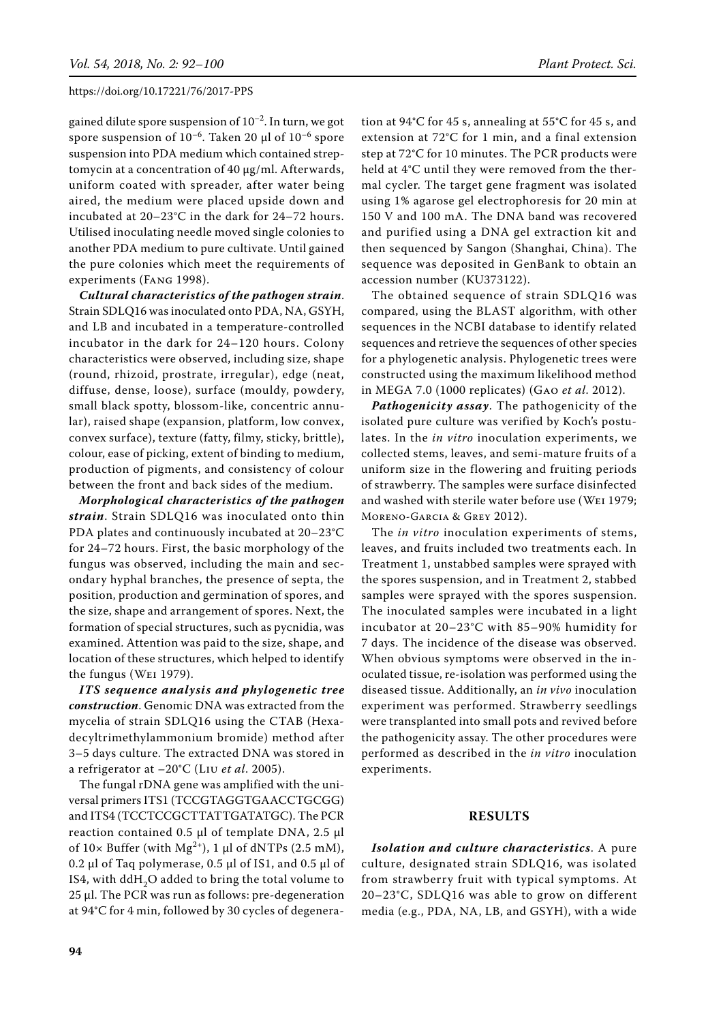gained dilute spore suspension of  $10^{-2}$ . In turn, we got spore suspension of  $10^{-6}$ . Taken 20 µl of  $10^{-6}$  spore suspension into PDA medium which contained streptomycin at a concentration of 40 µg/ml. Afterwards, uniform coated with spreader, after water being aired, the medium were placed upside down and incubated at 20–23°C in the dark for 24–72 hours. Utilised inoculating needle moved single colonies to another PDA medium to pure cultivate. Until gained the pure colonies which meet the requirements of experiments (Fang 1998).

*Cultural characteristics of the pathogen strain*. Strain SDLQ16 was inoculated onto PDA, NA, GSYH, and LB and incubated in a temperature-controlled incubator in the dark for 24–120 hours. Colony characteristics were observed, including size, shape (round, rhizoid, prostrate, irregular), edge (neat, diffuse, dense, loose), surface (mouldy, powdery, small black spotty, blossom-like, concentric annular), raised shape (expansion, platform, low convex, convex surface), texture (fatty, filmy, sticky, brittle), colour, ease of picking, extent of binding to medium, production of pigments, and consistency of colour between the front and back sides of the medium.

*Morphological characteristics of the pathogen strain*. Strain SDLQ16 was inoculated onto thin PDA plates and continuously incubated at 20–23°C for 24–72 hours. First, the basic morphology of the fungus was observed, including the main and secondary hyphal branches, the presence of septa, the position, production and germination of spores, and the size, shape and arrangement of spores. Next, the formation of special structures, such as pycnidia, was examined. Attention was paid to the size, shape, and location of these structures, which helped to identify the fungus (Wei 1979).

*ITS sequence analysis and phylogenetic tree construction*. Genomic DNA was extracted from the mycelia of strain SDLQ16 using the CTAB (Hexadecyltrimethylammonium bromide) method after 3–5 days culture. The extracted DNA was stored in a refrigerator at –20°C (Liu *et al*. 2005).

The fungal rDNA gene was amplified with the universal primers ITS1 (TCCGTAGGTGAACCTGCGG) and ITS4 (TCCTCCGCTTATTGATATGC). The PCR reaction contained 0.5 µl of template DNA, 2.5 µl of  $10\times$  Buffer (with Mg<sup>2+</sup>), 1 µl of dNTPs (2.5 mM), 0.2 µl of Taq polymerase, 0.5 µl of IS1, and 0.5 µl of IS4, with ddH<sub>2</sub>O added to bring the total volume to 25 µl. The PCR was run as follows: pre-degeneration at 94°C for 4 min, followed by 30 cycles of degeneration at 94°C for 45 s, annealing at 55°C for 45 s, and extension at 72°C for 1 min, and a final extension step at 72°C for 10 minutes. The PCR products were held at 4°C until they were removed from the thermal cycler. The target gene fragment was isolated using 1% agarose gel electrophoresis for 20 min at 150 V and 100 mA. The DNA band was recovered and purified using a DNA gel extraction kit and then sequenced by Sangon (Shanghai, China). The sequence was deposited in GenBank to obtain an accession number (KU373122).

The obtained sequence of strain SDLQ16 was compared, using the BLAST algorithm, with other sequences in the NCBI database to identify related sequences and retrieve the sequences of other species for a phylogenetic analysis. Phylogenetic trees were constructed using the maximum likelihood method in MEGA 7.0 (1000 replicates) (Gao *et al*. 2012).

*Pathogenicity assay*. The pathogenicity of the isolated pure culture was verified by Koch's postulates. In the *in vitro* inoculation experiments, we collected stems, leaves, and semi-mature fruits of a uniform size in the flowering and fruiting periods of strawberry. The samples were surface disinfected and washed with sterile water before use (Wei 1979; Moreno-Garcia & Grey 2012).

The *in vitro* inoculation experiments of stems, leaves, and fruits included two treatments each. In Treatment 1, unstabbed samples were sprayed with the spores suspension, and in Treatment 2, stabbed samples were sprayed with the spores suspension. The inoculated samples were incubated in a light incubator at 20–23°C with 85–90% humidity for 7 days. The incidence of the disease was observed. When obvious symptoms were observed in the inoculated tissue, re-isolation was performed using the diseased tissue. Additionally, an *in vivo* inoculation experiment was performed. Strawberry seedlings were transplanted into small pots and revived before the pathogenicity assay. The other procedures were performed as described in the *in vitro* inoculation experiments.

#### **Results**

*Isolation and culture characteristics*. A pure culture, designated strain SDLQ16, was isolated from strawberry fruit with typical symptoms. At 20–23°C, SDLQ16 was able to grow on different media (e.g., PDA, NA, LB, and GSYH), with a wide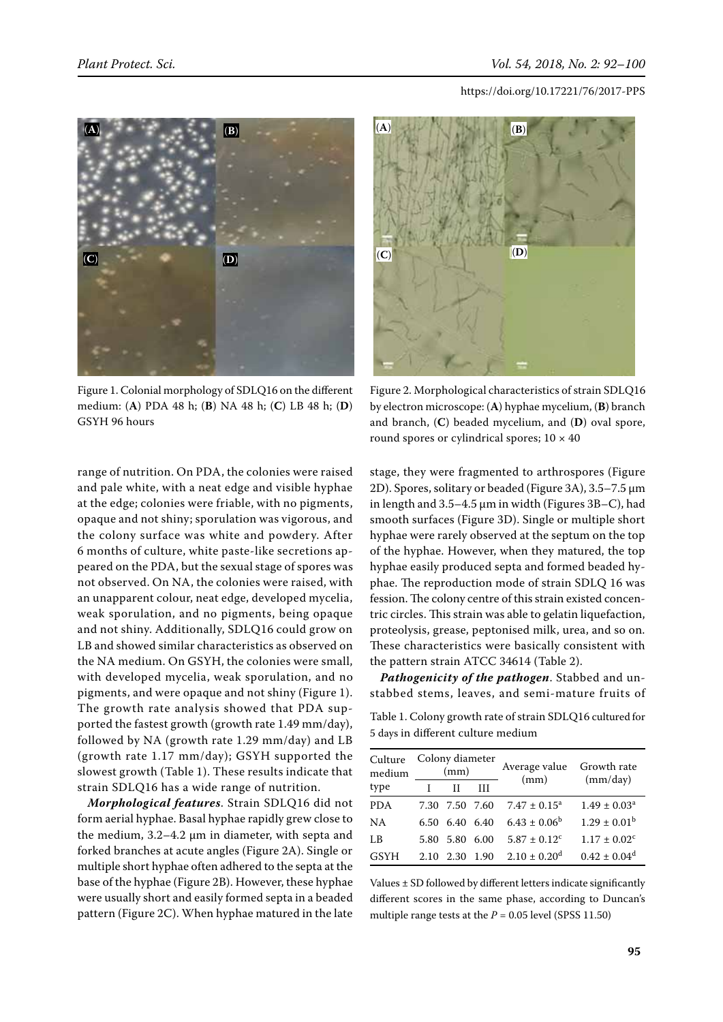

Figure 1. Colonial morphology of SDLQ16 on the different medium: (**A**) PDA 48 h; (**B**) NA 48 h; (**C**) LB 48 h; (**D**) GSYH 96 hours



Figure 2. Morphological characteristics of strain SDLQ16 by electron microscope: (**A**) hyphae mycelium, (**B**) branch and branch, (**C**) beaded mycelium, and (**D**) oval spore, round spores or cylindrical spores;  $10 \times 40$ 

range of nutrition. On PDA, the colonies were raised and pale white, with a neat edge and visible hyphae at the edge; colonies were friable, with no pigments, opaque and not shiny; sporulation was vigorous, and the colony surface was white and powdery. After 6 months of culture, white paste-like secretions appeared on the PDA, but the sexual stage of spores was not observed. On NA, the colonies were raised, with an unapparent colour, neat edge, developed mycelia, weak sporulation, and no pigments, being opaque and not shiny. Additionally, SDLQ16 could grow on LB and showed similar characteristics as observed on the NA medium. On GSYH, the colonies were small, with developed mycelia, weak sporulation, and no pigments, and were opaque and not shiny (Figure 1). The growth rate analysis showed that PDA supported the fastest growth (growth rate 1.49 mm/day), followed by NA (growth rate 1.29 mm/day) and LB (growth rate 1.17 mm/day); GSYH supported the slowest growth (Table 1). These results indicate that strain SDLQ16 has a wide range of nutrition.

*Morphological features*. Strain SDLQ16 did not form aerial hyphae. Basal hyphae rapidly grew close to the medium, 3.2–4.2 µm in diameter, with septa and forked branches at acute angles (Figure 2A). Single or multiple short hyphae often adhered to the septa at the base of the hyphae (Figure 2B). However, these hyphae were usually short and easily formed septa in a beaded pattern (Figure 2C). When hyphae matured in the late

stage, they were fragmented to arthrospores (Figure 2D). Spores, solitary or beaded (Figure 3A), 3.5–7.5 µm in length and 3.5–4.5 µm in width (Figures 3B–C), had smooth surfaces (Figure 3D). Single or multiple short hyphae were rarely observed at the septum on the top of the hyphae. However, when they matured, the top hyphae easily produced septa and formed beaded hyphae. The reproduction mode of strain SDLQ 16 was fession. The colony centre of this strain existed concentric circles. This strain was able to gelatin liquefaction, proteolysis, grease, peptonised milk, urea, and so on. These characteristics were basically consistent with the pattern strain ATCC 34614 (Table 2).

*Pathogenicity of the pathogen*. Stabbed and unstabbed stems, leaves, and semi-mature fruits of

Table 1. Colony growth rate of strain SDLQ16 cultured for 5 days in different culture medium

| Culture<br>medium<br>type | Colony diameter<br>(mm) |           |      | Average value Growth rate    |                         |
|---------------------------|-------------------------|-----------|------|------------------------------|-------------------------|
|                           |                         | Н         | Ш    | (mm)                         | (mm/day)                |
| <b>PDA</b>                | 7.30                    | 7.50 7.60 |      | $7.47 + 0.15^a$              | $1.49 \pm 0.03^a$       |
| NA                        | 6.50                    | 6.40 6.40 |      | $6.43 \pm 0.06^b$            | $1.29 \pm 0.01^{\rm b}$ |
| L <sub>B</sub>            | 5.80                    | 5.80      | 6.00 | $5.87 \pm 0.12$ <sup>c</sup> | $1.17 \pm 0.02^{\circ}$ |
| <b>GSYH</b>               | 2.10                    | 2.30      | 1.90 | $2.10 + 0.20$ <sup>d</sup>   | $0.42 \pm 0.04^d$       |

Values ± SD followed by different letters indicate significantly different scores in the same phase, according to Duncan's multiple range tests at the  $P = 0.05$  level (SPSS 11.50)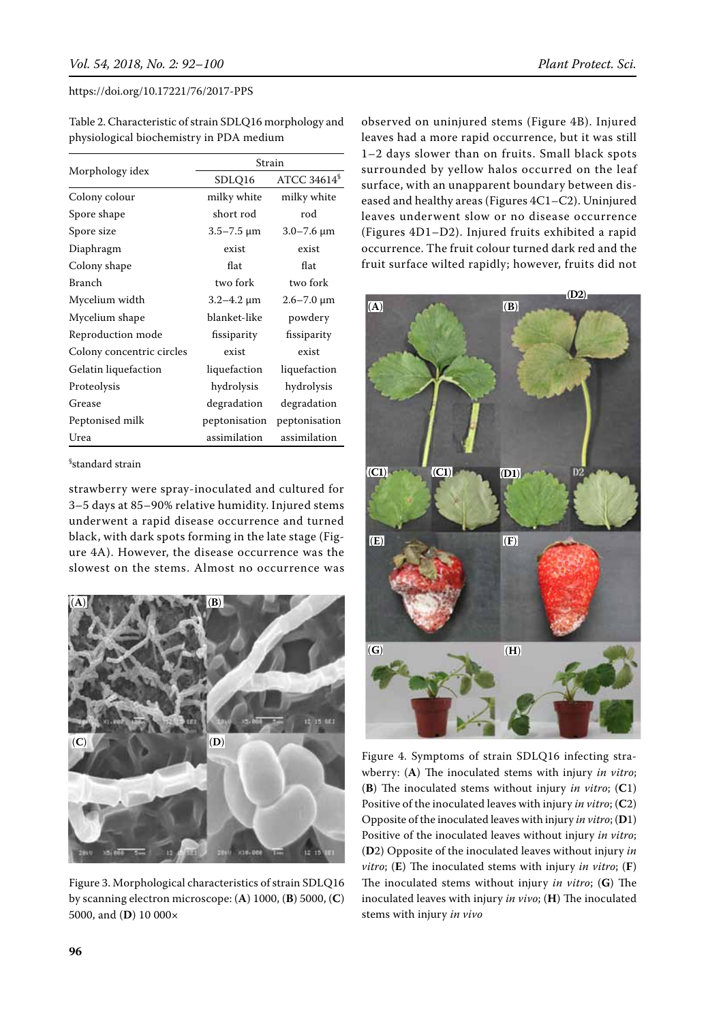|                           | Strain              |                     |  |
|---------------------------|---------------------|---------------------|--|
| Morphology idex           | SDLQ16              | ATCC 34614 $$$      |  |
| Colony colour             | milky white         | milky white         |  |
| Spore shape               | short rod           | rod                 |  |
| Spore size                | $3.5 - 7.5 \,\mu m$ | $3.0 - 7.6 \,\mu m$ |  |
| Diaphragm                 | exist               | exist               |  |
| Colony shape              | flat                | flat                |  |
| Branch                    | two fork            | two fork            |  |
| Mycelium width            | $3.2 - 4.2 \mu m$   | $2.6 - 7.0 \mu m$   |  |
| Mycelium shape            | blanket-like        | powdery             |  |
| Reproduction mode         | fissiparity         | fissiparity         |  |
| Colony concentric circles | exist               | exist               |  |
| Gelatin liquefaction      | liquefaction        | liquefaction        |  |
| Proteolysis               | hydrolysis          | hydrolysis          |  |
| Grease                    | degradation         | degradation         |  |
| Peptonised milk           | peptonisation       | peptonisation       |  |
| Urea                      | assimilation        | assimilation        |  |

Table 2. Characteristic of strain SDLQ16 morphology and physiological biochemistry in PDA medium

## § standard strain

strawberry were spray-inoculated and cultured for 3–5 days at 85–90% relative humidity. Injured stems underwent a rapid disease occurrence and turned black, with dark spots forming in the late stage (Figure 4A). However, the disease occurrence was the slowest on the stems. Almost no occurrence was



Figure 3. Morphological characteristics of strain SDLQ16 by scanning electron microscope: (**A**) 1000, (**B**) 5000, (**C**) 5000, and (**D**) 10 000×

observed on uninjured stems (Figure 4B). Injured leaves had a more rapid occurrence, but it was still 1–2 days slower than on fruits. Small black spots surrounded by yellow halos occurred on the leaf surface, with an unapparent boundary between diseased and healthy areas (Figures 4C1–C2). Uninjured leaves underwent slow or no disease occurrence (Figures 4D1–D2). Injured fruits exhibited a rapid occurrence. The fruit colour turned dark red and the fruit surface wilted rapidly; however, fruits did not



Figure 4. Symptoms of strain SDLQ16 infecting strawberry: (**A**) The inoculated stems with injury *in vitro*; (**B**) The inoculated stems without injury *in vitro*; (**C**1) Positive of the inoculated leaves with injury *in vitro*; (**C**2) Opposite of the inoculated leaves with injury *in vitro*; (**D**1) Positive of the inoculated leaves without injury *in vitro*; (**D**2) Opposite of the inoculated leaves without injury *in vitro*; (**E**) The inoculated stems with injury *in vitro*; (**F**) The inoculated stems without injury *in vitro*; (**G**) The inoculated leaves with injury *in vivo*; (**H**) The inoculated stems with injury *in vivo*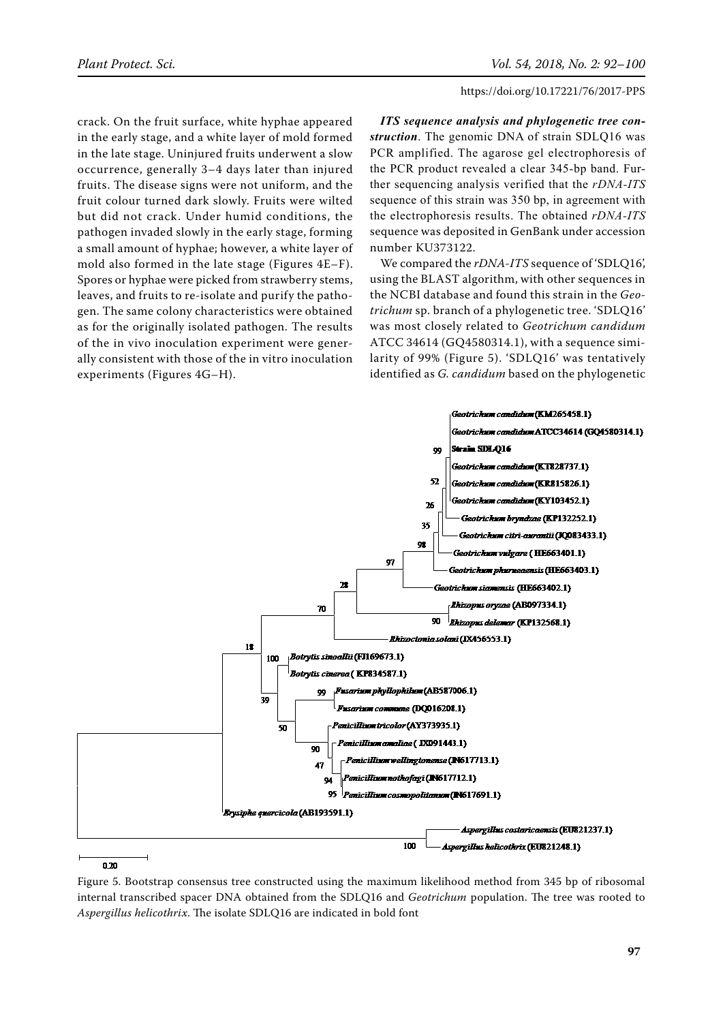crack. On the fruit surface, white hyphae appeared in the early stage, and a white layer of mold formed in the late stage. Uninjured fruits underwent a slow occurrence, generally 3–4 days later than injured fruits. The disease signs were not uniform, and the fruit colour turned dark slowly. Fruits were wilted but did not crack. Under humid conditions, the pathogen invaded slowly in the early stage, forming a small amount of hyphae; however, a white layer of mold also formed in the late stage (Figures 4E–F). Spores or hyphae were picked from strawberry stems, leaves, and fruits to re-isolate and purify the pathogen. The same colony characteristics were obtained as for the originally isolated pathogen. The results of the in vivo inoculation experiment were generally consistent with those of the in vitro inoculation experiments (Figures 4G–H).

*ITS sequence analysis and phylogenetic tree construction*. The genomic DNA of strain SDLQ16 was PCR amplified. The agarose gel electrophoresis of the PCR product revealed a clear 345-bp band. Further sequencing analysis verified that the *rDNA-ITS* sequence of this strain was 350 bp, in agreement with the electrophoresis results. The obtained *rDNA-ITS* sequence was deposited in GenBank under accession number KU373122.

We compared the *rDNA-ITS* sequence of 'SDLQ16', using the BLAST algorithm, with other sequences in the NCBI database and found this strain in the *Geotrichum* sp. branch of a phylogenetic tree. 'SDLQ16' was most closely related to *Geotrichum candidum* ATCC 34614 (GQ4580314.1), with a sequence similarity of 99% (Figure 5). 'SDLQ16' was tentatively identified as *G. candidum* based on the phylogenetic



Figure 5. Bootstrap consensus tree constructed using the maximum likelihood method from 345 bp of ribosomal internal transcribed spacer DNA obtained from the SDLQ16 and *Geotrichum* population. The tree was rooted to *Aspergillus helicothrix*. The isolate SDLQ16 are indicated in bold font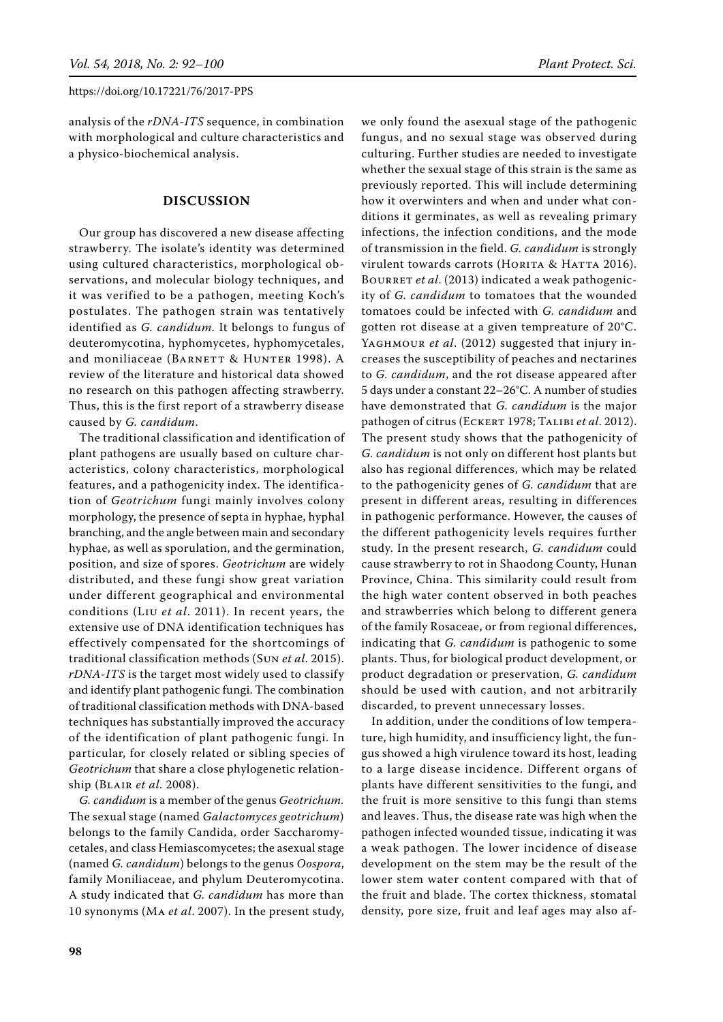analysis of the *rDNA-ITS* sequence, in combination with morphological and culture characteristics and a physico-biochemical analysis.

# **Discussion**

Our group has discovered a new disease affecting strawberry. The isolate's identity was determined using cultured characteristics, morphological observations, and molecular biology techniques, and it was verified to be a pathogen, meeting Koch's postulates. The pathogen strain was tentatively identified as *G. candidum.* It belongs to fungus of deuteromycotina, hyphomycetes, hyphomycetales, and moniliaceae (BARNETT & HUNTER 1998). A review of the literature and historical data showed no research on this pathogen affecting strawberry. Thus, this is the first report of a strawberry disease caused by *G. candidum*.

The traditional classification and identification of plant pathogens are usually based on culture characteristics, colony characteristics, morphological features, and a pathogenicity index. The identification of *Geotrichum* fungi mainly involves colony morphology, the presence of septa in hyphae, hyphal branching, and the angle between main and secondary hyphae, as well as sporulation, and the germination, position, and size of spores. *Geotrichum* are widely distributed, and these fungi show great variation under different geographical and environmental conditions (Liu *et al*. 2011). In recent years, the extensive use of DNA identification techniques has effectively compensated for the shortcomings of traditional classification methods (Sun *et al*. 2015). *rDNA-ITS* is the target most widely used to classify and identify plant pathogenic fungi. The combination of traditional classification methods with DNA-based techniques has substantially improved the accuracy of the identification of plant pathogenic fungi. In particular, for closely related or sibling species of *Geotrichum* that share a close phylogenetic relationship (Blair *et al*. 2008).

*G. candidum* is a member of the genus *Geotrichum.*  The sexual stage (named *Galactomyces geotrichum*) belongs to the family Candida, order Saccharomycetales, and class Hemiascomycetes; the asexual stage (named *G. candidum*) belongs to the genus *Oospora*, family Moniliaceae, and phylum Deuteromycotina. A study indicated that *G. candidum* has more than 10 synonyms (Ma *et al*. 2007). In the present study,

we only found the asexual stage of the pathogenic fungus, and no sexual stage was observed during culturing. Further studies are needed to investigate whether the sexual stage of this strain is the same as previously reported. This will include determining how it overwinters and when and under what conditions it germinates, as well as revealing primary infections, the infection conditions, and the mode of transmission in the field. *G. candidum* is strongly virulent towards carrots (HORITA & HATTA 2016). BOURRET *et al.* (2013) indicated a weak pathogenicity of *G. candidum* to tomatoes that the wounded tomatoes could be infected with *G. candidum* and gotten rot disease at a given tempreature of 20°C. YAGHMOUR *et al.* (2012) suggested that injury increases the susceptibility of peaches and nectarines to *G. candidum*, and the rot disease appeared after 5 days under a constant 22–26°C. A number of studies have demonstrated that *G. candidum* is the major pathogen of citrus (ECKERT 1978; TALIBI *et al.* 2012). The present study shows that the pathogenicity of *G. candidum* is not only on different host plants but also has regional differences, which may be related to the pathogenicity genes of *G. candidum* that are present in different areas, resulting in differences in pathogenic performance. However, the causes of the different pathogenicity levels requires further study. In the present research, *G. candidum* could cause strawberry to rot in Shaodong County, Hunan Province, China. This similarity could result from the high water content observed in both peaches and strawberries which belong to different genera of the family Rosaceae, or from regional differences, indicating that *G. candidum* is pathogenic to some plants. Thus, for biological product development, or product degradation or preservation, *G. candidum*  should be used with caution, and not arbitrarily discarded, to prevent unnecessary losses.

In addition, under the conditions of low temperature, high humidity, and insufficiency light, the fungus showed a high virulence toward its host, leading to a large disease incidence. Different organs of plants have different sensitivities to the fungi, and the fruit is more sensitive to this fungi than stems and leaves. Thus, the disease rate was high when the pathogen infected wounded tissue, indicating it was a weak pathogen. The lower incidence of disease development on the stem may be the result of the lower stem water content compared with that of the fruit and blade. The cortex thickness, stomatal density, pore size, fruit and leaf ages may also af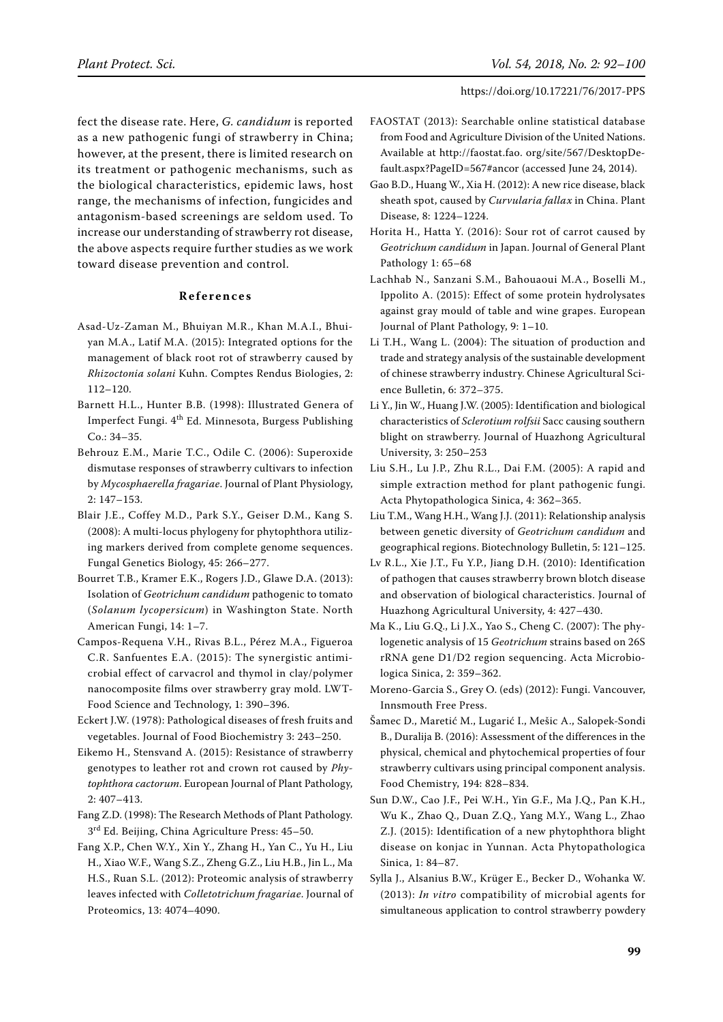fect the disease rate. Here, *G. candidum* is reported as a new pathogenic fungi of strawberry in China; however, at the present, there is limited research on its treatment or pathogenic mechanisms, such as the biological characteristics, epidemic laws, host range, the mechanisms of infection, fungicides and antagonism-based screenings are seldom used. To increase our understanding of strawberry rot disease, the above aspects require further studies as we work toward disease prevention and control.

#### **References**

- Asad-Uz-Zaman M., Bhuiyan M.R., Khan M.A.I., Bhuiyan M.A., Latif M.A. (2015): Integrated options for the management of black root rot of strawberry caused by *Rhizoctonia solani* Kuhn. Comptes Rendus Biologies, 2: 112–120.
- Barnett H.L., Hunter B.B. (1998): Illustrated Genera of Imperfect Fungi. 4th Ed. Minnesota, Burgess Publishing Co.: 34–35.
- Behrouz E.M., Marie T.C., Odile C. (2006): Superoxide dismutase responses of strawberry cultivars to infection by *Mycosphaerella fragariae*. Journal of Plant Physiology, 2: 147–153.
- Blair J.E., Coffey M.D., Park S.Y., Geiser D.M., Kang S. (2008): A multi-locus phylogeny for phytophthora utilizing markers derived from complete genome sequences. Fungal Genetics Biology, 45: 266–277.
- Bourret T.B., Kramer E.K., Rogers J.D., Glawe D.A. (2013): Isolation of *Geotrichum candidum* pathogenic to tomato (*Solanum lycopersicum*) in Washington State. North American Fungi, 14: 1–7.
- Campos-Requena V.H., Rivas B.L., Pérez M.A., Figueroa C.R. Sanfuentes E.A. (2015): The synergistic antimicrobial effect of carvacrol and thymol in clay/polymer nanocomposite films over strawberry gray mold. LWT-Food Science and Technology, 1: 390–396.
- Eckert J.W. (1978): Pathological diseases of fresh fruits and vegetables. Journal of Food Biochemistry 3: 243–250.
- Eikemo H., Stensvand A. (2015): Resistance of strawberry genotypes to leather rot and crown rot caused by *Phytophthora cactorum*. European Journal of Plant Pathology, 2: 407–413.
- Fang Z.D. (1998): The Research Methods of Plant Pathology. 3rd Ed. Beijing, China Agriculture Press: 45–50.
- Fang X.P., Chen W.Y., Xin Y., Zhang H., Yan C., Yu H., Liu H., Xiao W.F., Wang S.Z., Zheng G.Z., Liu H.B., Jin L., Ma H.S., Ruan S.L. (2012): Proteomic analysis of strawberry leaves infected with *Colletotrichum fragariae*. Journal of Proteomics, 13: 4074–4090.
- FAOSTAT (2013): Searchable online statistical database from Food and Agriculture Division of the United Nations. Available at http://faostat.fao. org/site/567/DesktopDefault.aspx?PageID=567#ancor (accessed June 24, 2014).
- Gao B.D., Huang W., Xia H. (2012): A new rice disease, black sheath spot, caused by *Curvularia fallax* in China. Plant Disease, 8: 1224–1224.
- Horita H., Hatta Y. (2016): Sour rot of carrot caused by *Geotrichum candidum* in Japan. Journal of General Plant Pathology 1: 65–68
- Lachhab N., Sanzani S.M., Bahouaoui M.A., Boselli M., Ippolito A. (2015): Effect of some protein hydrolysates against gray mould of table and wine grapes. European Journal of Plant Pathology, 9: 1–10.
- Li T.H., Wang L. (2004): The situation of production and trade and strategy analysis of the sustainable development of chinese strawberry industry. Chinese Agricultural Science Bulletin, 6: 372–375.
- Li Y., Jin W., Huang J.W. (2005): Identification and biological characteristics of *Sclerotium rolfsii* Sacc causing southern blight on strawberry. Journal of Huazhong Agricultural University, 3: 250–253
- Liu S.H., Lu J.P., Zhu R.L., Dai F.M. (2005): A rapid and simple extraction method for plant pathogenic fungi. Acta Phytopathologica Sinica, 4: 362–365.
- Liu T.M., Wang H.H., Wang J.J. (2011): Relationship analysis between genetic diversity of *Geotrichum candidum* and geographical regions. Biotechnology Bulletin, 5: 121–125.
- Lv R.L., Xie J.T., Fu Y.P., Jiang D.H. (2010): Identification of pathogen that causes strawberry brown blotch disease and observation of biological characteristics. Journal of Huazhong Agricultural University, 4: 427–430.
- Ma K., Liu G.Q., Li J.X., Yao S., Cheng C. (2007): The phylogenetic analysis of 15 *Geotrichum* strains based on 26S rRNA gene D1/D2 region sequencing. Acta Microbiologica Sinica, 2: 359–362.
- Moreno-Garcia S., Grey O. (eds) (2012): Fungi. Vancouver, Innsmouth Free Press.
- Šamec D., Maretić M., Lugarić I., Mešic A., Salopek-Sondi B., Duralija B. (2016): Assessment of the differences in the physical, chemical and phytochemical properties of four strawberry cultivars using principal component analysis. Food Chemistry, 194: 828–834.
- Sun D.W., Cao J.F., Pei W.H., Yin G.F., Ma J.Q., Pan K.H., Wu K., Zhao Q., Duan Z.Q., Yang M.Y., Wang L., Zhao Z.J. (2015): Identification of a new phytophthora blight disease on konjac in Yunnan. Acta Phytopathologica Sinica, 1: 84–87.
- Sylla J., Alsanius B.W., Krüger E., Becker D., Wohanka W. (2013): *In vitro* compatibility of microbial agents for simultaneous application to control strawberry powdery